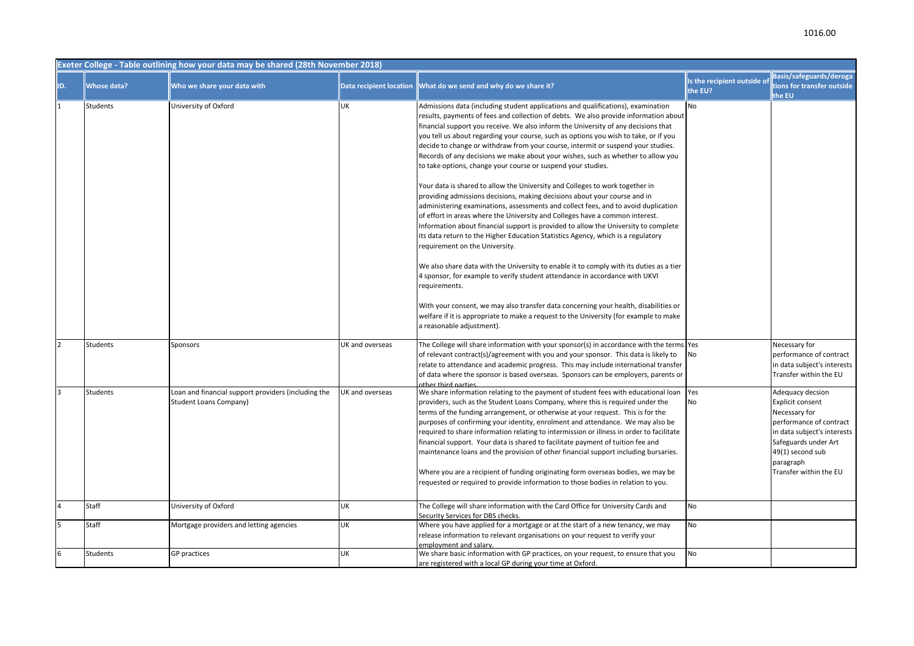|                | Exeter College - Table outlining how your data may be shared (28th November 2018) |                                                                                      |                                |                                                                                                                                                                                                                                                                                                                                                                                                                                                                                                                                                                                                                                                                                                                                                                                                                                                                                                                                                                                                                                                                                                                                                                                                                                                                                                                                                                                                                                                                                                                                                         |                                        |                                                                                                                                                                                                           |  |  |
|----------------|-----------------------------------------------------------------------------------|--------------------------------------------------------------------------------------|--------------------------------|---------------------------------------------------------------------------------------------------------------------------------------------------------------------------------------------------------------------------------------------------------------------------------------------------------------------------------------------------------------------------------------------------------------------------------------------------------------------------------------------------------------------------------------------------------------------------------------------------------------------------------------------------------------------------------------------------------------------------------------------------------------------------------------------------------------------------------------------------------------------------------------------------------------------------------------------------------------------------------------------------------------------------------------------------------------------------------------------------------------------------------------------------------------------------------------------------------------------------------------------------------------------------------------------------------------------------------------------------------------------------------------------------------------------------------------------------------------------------------------------------------------------------------------------------------|----------------------------------------|-----------------------------------------------------------------------------------------------------------------------------------------------------------------------------------------------------------|--|--|
| ID.            | <b>Whose data?</b>                                                                | Who we share your data with                                                          | <b>Data recipient location</b> | What do we send and why do we share it?                                                                                                                                                                                                                                                                                                                                                                                                                                                                                                                                                                                                                                                                                                                                                                                                                                                                                                                                                                                                                                                                                                                                                                                                                                                                                                                                                                                                                                                                                                                 | Is the recipient outside of<br>the EU? | Basis/safeguards/deroga<br>tions for transfer outside<br>the EU                                                                                                                                           |  |  |
|                | Students                                                                          | University of Oxford                                                                 | UK                             | Admissions data (including student applications and qualifications), examination<br>results, payments of fees and collection of debts. We also provide information about<br>financial support you receive. We also inform the University of any decisions that<br>you tell us about regarding your course, such as options you wish to take, or if you<br>decide to change or withdraw from your course, intermit or suspend your studies.<br>Records of any decisions we make about your wishes, such as whether to allow you<br>to take options, change your course or suspend your studies.<br>Your data is shared to allow the University and Colleges to work together in<br>providing admissions decisions, making decisions about your course and in<br>administering examinations, assessments and collect fees, and to avoid duplication<br>of effort in areas where the University and Colleges have a common interest.<br>Information about financial support is provided to allow the University to complete<br>its data return to the Higher Education Statistics Agency, which is a regulatory<br>requirement on the University.<br>We also share data with the University to enable it to comply with its duties as a tier<br>4 sponsor, for example to verify student attendance in accordance with UKVI<br>requirements.<br>With your consent, we may also transfer data concerning your health, disabilities or<br>welfare if it is appropriate to make a request to the University (for example to make<br>a reasonable adjustment). | No                                     |                                                                                                                                                                                                           |  |  |
| $\mathfrak{p}$ | Students                                                                          | Sponsors                                                                             | UK and overseas                | The College will share information with your sponsor(s) in accordance with the terms Yes<br>of relevant contract(s)/agreement with you and your sponsor. This data is likely to<br>relate to attendance and academic progress. This may include international transfer<br>of data where the sponsor is based overseas. Sponsors can be employers, parents or<br>other third narties                                                                                                                                                                                                                                                                                                                                                                                                                                                                                                                                                                                                                                                                                                                                                                                                                                                                                                                                                                                                                                                                                                                                                                     | No                                     | Necessary for<br>performance of contract<br>in data subject's interests<br>Transfer within the EU                                                                                                         |  |  |
| 3              | Students                                                                          | Loan and financial support providers (including the<br><b>Student Loans Company)</b> | UK and overseas                | We share information relating to the payment of student fees with educational loan<br>providers, such as the Student Loans Company, where this is required under the<br>terms of the funding arrangement, or otherwise at your request. This is for the<br>purposes of confirming your identity, enrolment and attendance. We may also be<br>required to share information relating to intermission or illness in order to facilitate<br>financial support. Your data is shared to facilitate payment of tuition fee and<br>maintenance loans and the provision of other financial support including bursaries.<br>Where you are a recipient of funding originating form overseas bodies, we may be<br>requested or required to provide information to those bodies in relation to you.                                                                                                                                                                                                                                                                                                                                                                                                                                                                                                                                                                                                                                                                                                                                                                 | Yes<br>No                              | Adequacy decsion<br><b>Explicit consent</b><br>Necessary for<br>performance of contract<br>in data subject's interests<br>Safeguards under Art<br>49(1) second sub<br>paragraph<br>Transfer within the EU |  |  |
| $\overline{4}$ | Staff                                                                             | University of Oxford                                                                 | UK                             | The College will share information with the Card Office for University Cards and<br>Security Services for DBS checks.                                                                                                                                                                                                                                                                                                                                                                                                                                                                                                                                                                                                                                                                                                                                                                                                                                                                                                                                                                                                                                                                                                                                                                                                                                                                                                                                                                                                                                   | No                                     |                                                                                                                                                                                                           |  |  |
| 5              | Staff                                                                             | Mortgage providers and letting agencies                                              | UK                             | Where you have applied for a mortgage or at the start of a new tenancy, we may<br>release information to relevant organisations on your request to verify your<br>employment and salary.                                                                                                                                                                                                                                                                                                                                                                                                                                                                                                                                                                                                                                                                                                                                                                                                                                                                                                                                                                                                                                                                                                                                                                                                                                                                                                                                                                | <b>No</b>                              |                                                                                                                                                                                                           |  |  |
| 6              | Students                                                                          | GP practices                                                                         | UK                             | We share basic information with GP practices, on your request, to ensure that you<br>are registered with a local GP during your time at Oxford.                                                                                                                                                                                                                                                                                                                                                                                                                                                                                                                                                                                                                                                                                                                                                                                                                                                                                                                                                                                                                                                                                                                                                                                                                                                                                                                                                                                                         | <b>No</b>                              |                                                                                                                                                                                                           |  |  |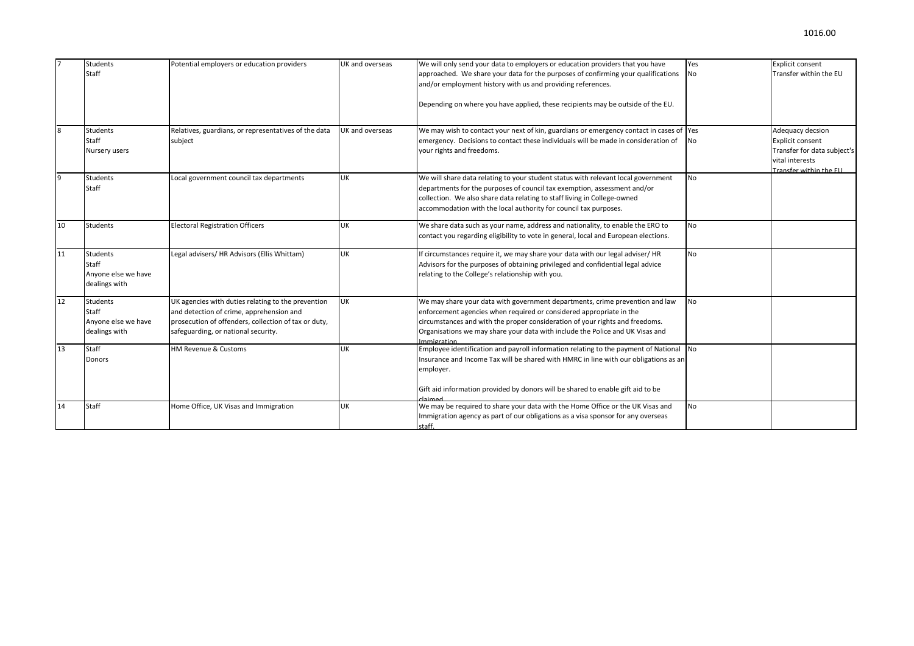|    | <b>Students</b>                                           | Potential employers or education providers                                                                                                                                                    | UK and overseas | We will only send your data to employers or education providers that you have                                                                                                                                                                                                                                                      | Yes       | <b>Explicit consent</b>                                                                                          |
|----|-----------------------------------------------------------|-----------------------------------------------------------------------------------------------------------------------------------------------------------------------------------------------|-----------------|------------------------------------------------------------------------------------------------------------------------------------------------------------------------------------------------------------------------------------------------------------------------------------------------------------------------------------|-----------|------------------------------------------------------------------------------------------------------------------|
|    | Staff                                                     |                                                                                                                                                                                               |                 | approached. We share your data for the purposes of confirming your qualifications<br>and/or employment history with us and providing references.                                                                                                                                                                                   | <b>No</b> | Transfer within the EU                                                                                           |
|    |                                                           |                                                                                                                                                                                               |                 | Depending on where you have applied, these recipients may be outside of the EU.                                                                                                                                                                                                                                                    |           |                                                                                                                  |
| 8  | Students<br>Staff<br>Nursery users                        | Relatives, guardians, or representatives of the data<br>subject                                                                                                                               | UK and overseas | We may wish to contact your next of kin, guardians or emergency contact in cases of Yes<br>emergency. Decisions to contact these individuals will be made in consideration of<br>your rights and freedoms.                                                                                                                         | <b>No</b> | Adequacy decsion<br>Explicit consent<br>Transfer for data subject's<br>vital interests<br>Transfer within the FU |
| 9  | Students<br>Staff                                         | Local government council tax departments                                                                                                                                                      | <b>UK</b>       | We will share data relating to your student status with relevant local government<br>departments for the purposes of council tax exemption, assessment and/or<br>collection. We also share data relating to staff living in College-owned<br>accommodation with the local authority for council tax purposes.                      | <b>No</b> |                                                                                                                  |
| 10 | <b>Students</b>                                           | <b>Electoral Registration Officers</b>                                                                                                                                                        | <b>UK</b>       | We share data such as your name, address and nationality, to enable the ERO to<br>contact you regarding eligibility to vote in general, local and European elections.                                                                                                                                                              | <b>No</b> |                                                                                                                  |
| 11 | Students<br>Staff<br>Anyone else we have<br>dealings with | Legal advisers/ HR Advisors (Ellis Whittam)                                                                                                                                                   | <b>UK</b>       | If circumstances require it, we may share your data with our legal adviser/HR<br>Advisors for the purposes of obtaining privileged and confidential legal advice<br>relating to the College's relationship with you.                                                                                                               | <b>No</b> |                                                                                                                  |
| 12 | Students<br>Staff<br>Anyone else we have<br>dealings with | UK agencies with duties relating to the prevention<br>and detection of crime, apprehension and<br>prosecution of offenders, collection of tax or duty,<br>safeguarding, or national security. | <b>UK</b>       | We may share your data with government departments, crime prevention and law<br>enforcement agencies when required or considered appropriate in the<br>circumstances and with the proper consideration of your rights and freedoms.<br>Organisations we may share your data with include the Police and UK Visas and<br>mmigration | <b>No</b> |                                                                                                                  |
| 13 | Staff<br>Donors                                           | HM Revenue & Customs                                                                                                                                                                          | <b>UK</b>       | Employee identification and payroll information relating to the payment of National $\vert$ No<br>Insurance and Income Tax will be shared with HMRC in line with our obligations as an<br>employer.<br>Gift aid information provided by donors will be shared to enable gift aid to be<br>haimed <sup>-</sup>                      |           |                                                                                                                  |
| 14 | Staff                                                     | Home Office, UK Visas and Immigration                                                                                                                                                         | <b>UK</b>       | We may be required to share your data with the Home Office or the UK Visas and<br>Immigration agency as part of our obligations as a visa sponsor for any overseas<br>staff.                                                                                                                                                       | No        |                                                                                                                  |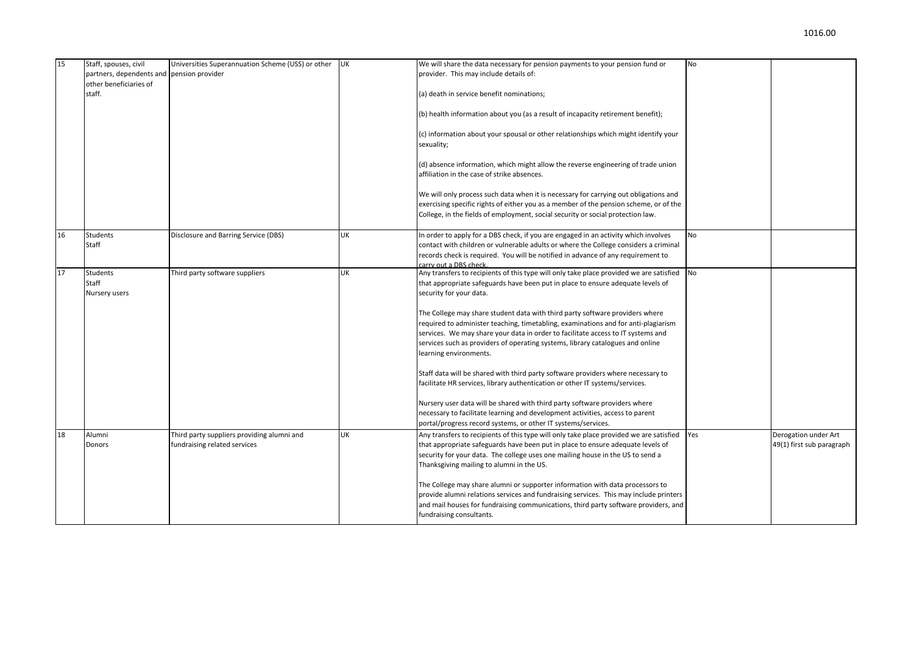| 15 | Staff, spouses, civil                     | Universities Superannuation Scheme (USS) or other | <b>UK</b> | We will share the data necessary for pension payments to your pension fund or                                                                                                 | No        |                           |
|----|-------------------------------------------|---------------------------------------------------|-----------|-------------------------------------------------------------------------------------------------------------------------------------------------------------------------------|-----------|---------------------------|
|    | partners, dependents and pension provider |                                                   |           | provider. This may include details of:                                                                                                                                        |           |                           |
|    | other beneficiaries of                    |                                                   |           |                                                                                                                                                                               |           |                           |
|    | staff.                                    |                                                   |           | (a) death in service benefit nominations;                                                                                                                                     |           |                           |
|    |                                           |                                                   |           | (b) health information about you (as a result of incapacity retirement benefit);                                                                                              |           |                           |
|    |                                           |                                                   |           | (c) information about your spousal or other relationships which might identify your<br>sexuality;                                                                             |           |                           |
|    |                                           |                                                   |           | (d) absence information, which might allow the reverse engineering of trade union<br>affiliation in the case of strike absences.                                              |           |                           |
|    |                                           |                                                   |           | We will only process such data when it is necessary for carrying out obligations and<br>exercising specific rights of either you as a member of the pension scheme, or of the |           |                           |
|    |                                           |                                                   |           | College, in the fields of employment, social security or social protection law.                                                                                               |           |                           |
| 16 | Students                                  | Disclosure and Barring Service (DBS)              | UK        | In order to apply for a DBS check, if you are engaged in an activity which involves                                                                                           | No        |                           |
|    | Staff                                     |                                                   |           | contact with children or vulnerable adults or where the College considers a criminal                                                                                          |           |                           |
|    |                                           |                                                   |           | records check is required. You will be notified in advance of any requirement to<br>carry out a DBS check.                                                                    |           |                           |
| 17 | <b>Students</b>                           | Third party software suppliers                    | UK        | Any transfers to recipients of this type will only take place provided we are satisfied                                                                                       | <b>No</b> |                           |
|    | Staff                                     |                                                   |           | that appropriate safeguards have been put in place to ensure adequate levels of                                                                                               |           |                           |
|    | Nursery users                             |                                                   |           | security for your data.                                                                                                                                                       |           |                           |
|    |                                           |                                                   |           |                                                                                                                                                                               |           |                           |
|    |                                           |                                                   |           | The College may share student data with third party software providers where                                                                                                  |           |                           |
|    |                                           |                                                   |           | required to administer teaching, timetabling, examinations and for anti-plagiarism                                                                                            |           |                           |
|    |                                           |                                                   |           | services. We may share your data in order to facilitate access to IT systems and                                                                                              |           |                           |
|    |                                           |                                                   |           | services such as providers of operating systems, library catalogues and online<br>learning environments.                                                                      |           |                           |
|    |                                           |                                                   |           |                                                                                                                                                                               |           |                           |
|    |                                           |                                                   |           | Staff data will be shared with third party software providers where necessary to                                                                                              |           |                           |
|    |                                           |                                                   |           | facilitate HR services, library authentication or other IT systems/services.                                                                                                  |           |                           |
|    |                                           |                                                   |           | Nursery user data will be shared with third party software providers where                                                                                                    |           |                           |
|    |                                           |                                                   |           | necessary to facilitate learning and development activities, access to parent                                                                                                 |           |                           |
|    |                                           |                                                   |           | portal/progress record systems, or other IT systems/services.                                                                                                                 |           |                           |
| 18 | Alumni                                    | Third party suppliers providing alumni and        | <b>UK</b> | Any transfers to recipients of this type will only take place provided we are satisfied                                                                                       | Yes       | Derogation under Art      |
|    | Donors                                    | fundraising related services                      |           | that appropriate safeguards have been put in place to ensure adequate levels of                                                                                               |           | 49(1) first sub paragraph |
|    |                                           |                                                   |           | security for your data. The college uses one mailing house in the US to send a                                                                                                |           |                           |
|    |                                           |                                                   |           | Thanksgiving mailing to alumni in the US.                                                                                                                                     |           |                           |
|    |                                           |                                                   |           | The College may share alumni or supporter information with data processors to                                                                                                 |           |                           |
|    |                                           |                                                   |           | provide alumni relations services and fundraising services. This may include printers                                                                                         |           |                           |
|    |                                           |                                                   |           | and mail houses for fundraising communications, third party software providers, and                                                                                           |           |                           |
|    |                                           |                                                   |           | fundraising consultants.                                                                                                                                                      |           |                           |